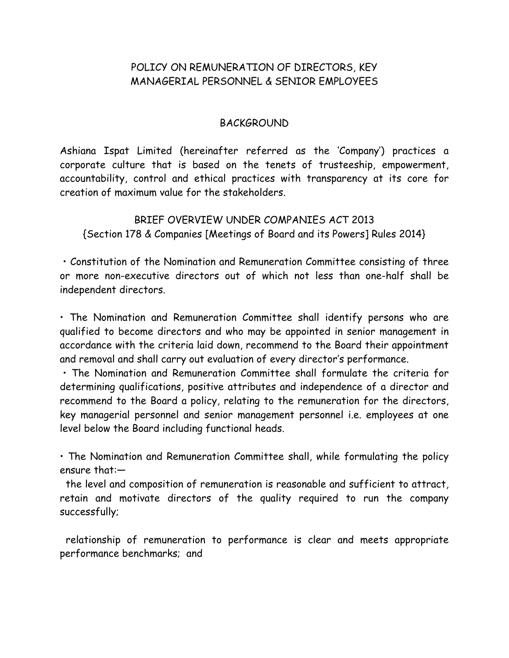# POLICY ON REMUNERATION OF DIRECTORS, KEY MANAGERIAL PERSONNEL & SENIOR EMPLOYEES

#### BACKGROUND

Ashiana Ispat Limited (hereinafter referred as the 'Company') practices a corporate culture that is based on the tenets of trusteeship, empowerment, accountability, control and ethical practices with transparency at its core for creation of maximum value for the stakeholders.

BRIEF OVERVIEW UNDER COMPANIES ACT 2013 {Section 178 & Companies [Meetings of Board and its Powers] Rules 2014}

• Constitution of the Nomination and Remuneration Committee consisting of three or more non-executive directors out of which not less than one-half shall be independent directors.

• The Nomination and Remuneration Committee shall identify persons who are qualified to become directors and who may be appointed in senior management in accordance with the criteria laid down, recommend to the Board their appointment and removal and shall carry out evaluation of every director's performance.

• The Nomination and Remuneration Committee shall formulate the criteria for determining qualifications, positive attributes and independence of a director and recommend to the Board a policy, relating to the remuneration for the directors, key managerial personnel and senior management personnel i.e. employees at one level below the Board including functional heads.

• The Nomination and Remuneration Committee shall, while formulating the policy ensure that:—

 the level and composition of remuneration is reasonable and sufficient to attract, retain and motivate directors of the quality required to run the company successfully;

 relationship of remuneration to performance is clear and meets appropriate performance benchmarks; and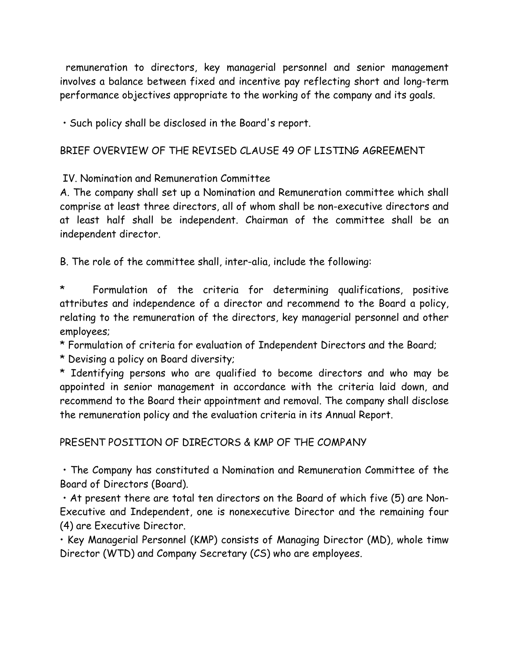remuneration to directors, key managerial personnel and senior management involves a balance between fixed and incentive pay reflecting short and long-term performance objectives appropriate to the working of the company and its goals.

• Such policy shall be disclosed in the Board's report.

### BRIEF OVERVIEW OF THE REVISED CLAUSE 49 OF LISTING AGREEMENT

IV. Nomination and Remuneration Committee

A. The company shall set up a Nomination and Remuneration committee which shall comprise at least three directors, all of whom shall be non-executive directors and at least half shall be independent. Chairman of the committee shall be an independent director.

B. The role of the committee shall, inter-alia, include the following:

Formulation of the criteria for determining qualifications, positive attributes and independence of a director and recommend to the Board a policy, relating to the remuneration of the directors, key managerial personnel and other employees;

\* Formulation of criteria for evaluation of Independent Directors and the Board;

\* Devising a policy on Board diversity;

\* Identifying persons who are qualified to become directors and who may be appointed in senior management in accordance with the criteria laid down, and recommend to the Board their appointment and removal. The company shall disclose the remuneration policy and the evaluation criteria in its Annual Report.

PRESENT POSITION OF DIRECTORS & KMP OF THE COMPANY

• The Company has constituted a Nomination and Remuneration Committee of the Board of Directors (Board).

• At present there are total ten directors on the Board of which five (5) are Non-Executive and Independent, one is nonexecutive Director and the remaining four (4) are Executive Director.

• Key Managerial Personnel (KMP) consists of Managing Director (MD), whole timw Director (WTD) and Company Secretary (CS) who are employees.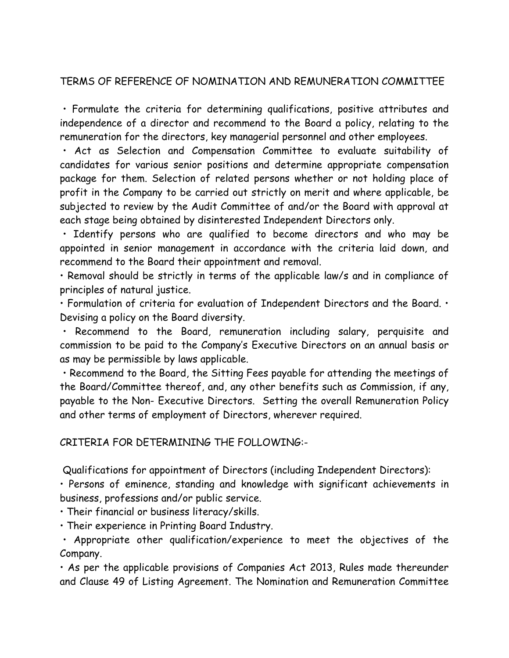### TERMS OF REFERENCE OF NOMINATION AND REMUNERATION COMMITTEE

• Formulate the criteria for determining qualifications, positive attributes and independence of a director and recommend to the Board a policy, relating to the remuneration for the directors, key managerial personnel and other employees.

• Act as Selection and Compensation Committee to evaluate suitability of candidates for various senior positions and determine appropriate compensation package for them. Selection of related persons whether or not holding place of profit in the Company to be carried out strictly on merit and where applicable, be subjected to review by the Audit Committee of and/or the Board with approval at each stage being obtained by disinterested Independent Directors only.

• Identify persons who are qualified to become directors and who may be appointed in senior management in accordance with the criteria laid down, and recommend to the Board their appointment and removal.

• Removal should be strictly in terms of the applicable law/s and in compliance of principles of natural justice.

• Formulation of criteria for evaluation of Independent Directors and the Board. • Devising a policy on the Board diversity.

• Recommend to the Board, remuneration including salary, perquisite and commission to be paid to the Company's Executive Directors on an annual basis or as may be permissible by laws applicable.

• Recommend to the Board, the Sitting Fees payable for attending the meetings of the Board/Committee thereof, and, any other benefits such as Commission, if any, payable to the Non- Executive Directors. Setting the overall Remuneration Policy and other terms of employment of Directors, wherever required.

CRITERIA FOR DETERMINING THE FOLLOWING:-

Qualifications for appointment of Directors (including Independent Directors):

• Persons of eminence, standing and knowledge with significant achievements in business, professions and/or public service.

• Their financial or business literacy/skills.

• Their experience in Printing Board Industry.

• Appropriate other qualification/experience to meet the objectives of the Company.

• As per the applicable provisions of Companies Act 2013, Rules made thereunder and Clause 49 of Listing Agreement. The Nomination and Remuneration Committee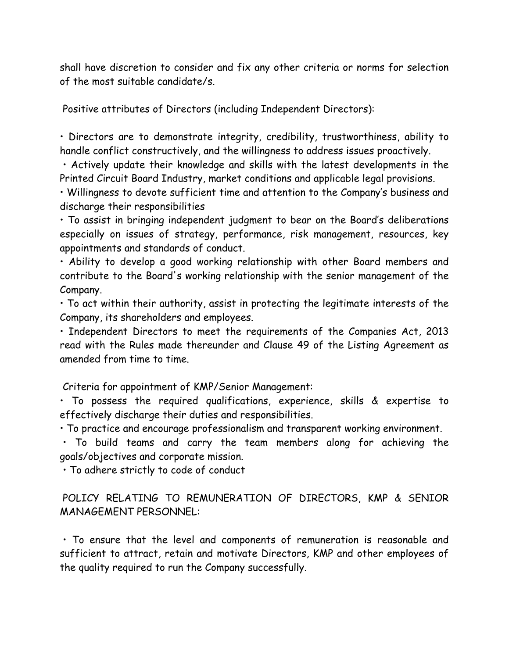shall have discretion to consider and fix any other criteria or norms for selection of the most suitable candidate/s.

Positive attributes of Directors (including Independent Directors):

• Directors are to demonstrate integrity, credibility, trustworthiness, ability to handle conflict constructively, and the willingness to address issues proactively.

• Actively update their knowledge and skills with the latest developments in the Printed Circuit Board Industry, market conditions and applicable legal provisions.

• Willingness to devote sufficient time and attention to the Company's business and discharge their responsibilities

• To assist in bringing independent judgment to bear on the Board's deliberations especially on issues of strategy, performance, risk management, resources, key appointments and standards of conduct.

• Ability to develop a good working relationship with other Board members and contribute to the Board's working relationship with the senior management of the Company.

• To act within their authority, assist in protecting the legitimate interests of the Company, its shareholders and employees.

• Independent Directors to meet the requirements of the Companies Act, 2013 read with the Rules made thereunder and Clause 49 of the Listing Agreement as amended from time to time.

Criteria for appointment of KMP/Senior Management:

• To possess the required qualifications, experience, skills & expertise to effectively discharge their duties and responsibilities.

• To practice and encourage professionalism and transparent working environment.

• To build teams and carry the team members along for achieving the goals/objectives and corporate mission.

• To adhere strictly to code of conduct

# POLICY RELATING TO REMUNERATION OF DIRECTORS, KMP & SENIOR MANAGEMENT PERSONNEL:

• To ensure that the level and components of remuneration is reasonable and sufficient to attract, retain and motivate Directors, KMP and other employees of the quality required to run the Company successfully.